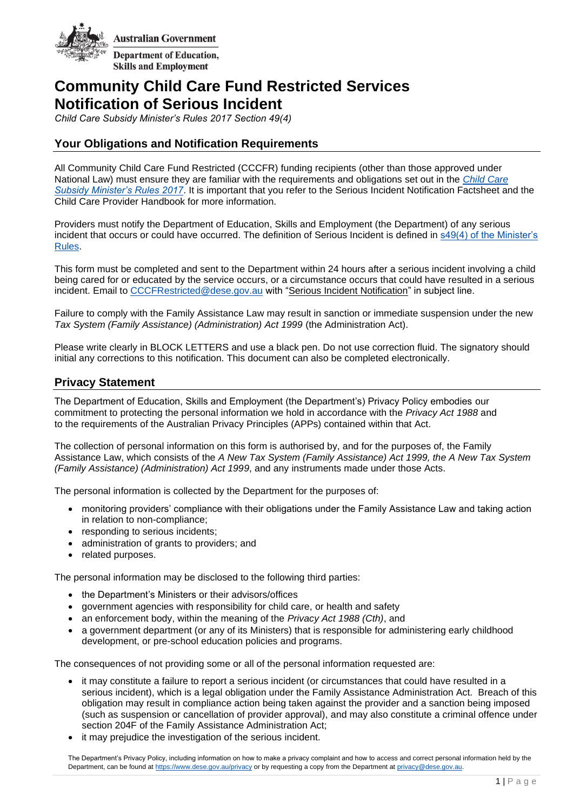

# **Community Child Care Fund Restricted Services Notification of Serious Incident**

*Child Care Subsidy Minister's Rules 2017 Section 49(4)*

## **Your Obligations and Notification Requirements**

All Community Child Care Fund Restricted (CCCFR) funding recipients (other than those approved under National Law) must ensure they are familiar with the requirements and obligations set out in the *[Child Care](https://www.legislation.gov.au/Details/F2021C00345)  [Subsidy Minister's Rules 2017](https://www.legislation.gov.au/Details/F2021C00345)*. It is important that you refer to the Serious Incident Notification Factsheet and the Child Care Provider Handbook for more information.

Providers must notify the Department of Education, Skills and Employment (the Department) of any serious incident that occurs or could have occurred. The definition of Serious Incident is defined in [s49\(4\) of the Minister's](https://www.legislation.gov.au/Details/F2021C00345)  [Rules.](https://www.legislation.gov.au/Details/F2021C00345)

This form must be completed and sent to the Department within 24 hours after a serious incident involving a child being cared for or educated by the service occurs, or a circumstance occurs that could have resulted in a serious incident. Email to [CCCFRestricted@dese.gov.au](mailto:CCCFRestricted@dese.gov.au) with "Serious Incident Notification" in subject line.

Failure to comply with the Family Assistance Law may result in sanction or immediate suspension under the new *Tax System (Family Assistance) (Administration) Act 1999* (the Administration Act).

Please write clearly in BLOCK LETTERS and use a black pen. Do not use correction fluid. The signatory should initial any corrections to this notification. This document can also be completed electronically.

## **Privacy Statement**

The Department of Education, Skills and Employment (the Department's) Privacy Policy embodies our commitment to protecting the personal information we hold in accordance with the *Privacy Act 1988* and to the requirements of the Australian Privacy Principles (APPs) contained within that Act.

The collection of personal information on this form is authorised by, and for the purposes of, the Family Assistance Law, which consists of the *A New Tax System (Family Assistance) Act 1999, the A New Tax System (Family Assistance) (Administration) Act 1999*, and any instruments made under those Acts.

The personal information is collected by the Department for the purposes of:

- monitoring providers' compliance with their obligations under the Family Assistance Law and taking action in relation to non-compliance;
- responding to serious incidents;
- administration of grants to providers; and
- related purposes.

The personal information may be disclosed to the following third parties:

- the Department's Ministers or their advisors/offices
- government agencies with responsibility for child care, or health and safety
- an enforcement body, within the meaning of the *Privacy Act 1988 (Cth)*, and
- a government department (or any of its Ministers) that is responsible for administering early childhood development, or pre-school education policies and programs.

The consequences of not providing some or all of the personal information requested are:

- it may constitute a failure to report a serious incident (or circumstances that could have resulted in a serious incident), which is a legal obligation under the Family Assistance Administration Act. Breach of this obligation may result in compliance action being taken against the provider and a sanction being imposed (such as suspension or cancellation of provider approval), and may also constitute a criminal offence under section [204F](https://www.legislation.gov.au/Details/C2021C00186/Html/Volume_2#_Toc69904579) of the Family Assistance Administration Act;
- it may prejudice the investigation of the serious incident.

The Department's Privacy Policy, including information on how to make a privacy complaint and how to access and correct personal information held by the Department, can be found a[t https://www.dese.gov.au/privacy](https://www.dese.gov.au/privacy) or by requesting a copy from the Department at privacy@dese.gov.au.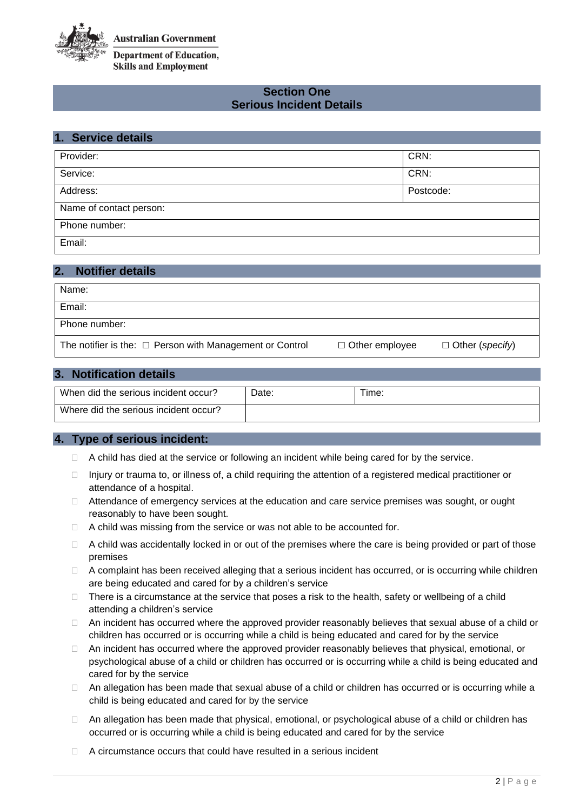

## **Section One Serious Incident Details**

| 1. Service details      |           |
|-------------------------|-----------|
| Provider:               | CRN:      |
| Service:                | CRN:      |
| Address:                | Postcode: |
| Name of contact person: |           |
| Phone number:           |           |
| Email:                  |           |

| $\overline{2}$<br><b>Notifier details</b>                     |                       |                        |
|---------------------------------------------------------------|-----------------------|------------------------|
| Name:                                                         |                       |                        |
| Email:                                                        |                       |                        |
| Phone number:                                                 |                       |                        |
| The notifier is the: $\Box$ Person with Management or Control | $\Box$ Other employee | $\Box$ Other (specify) |

## **3. Notification details**

| When did the serious incident occur?  | Date. | Time: |
|---------------------------------------|-------|-------|
| Where did the serious incident occur? |       |       |

#### **4. Type of serious incident:**

- $\Box$  A child has died at the service or following an incident while being cared for by the service.
- $\Box$  Injury or trauma to, or illness of, a child requiring the attention of a registered medical practitioner or attendance of a hospital.
- $\Box$  Attendance of emergency services at the education and care service premises was sought, or ought reasonably to have been sought.
- $\Box$  A child was missing from the service or was not able to be accounted for.
- $\Box$  A child was accidentally locked in or out of the premises where the care is being provided or part of those premises
- □ A complaint has been received alleging that a serious incident has occurred, or is occurring while children are being educated and cared for by a children's service
- $\Box$  There is a circumstance at the service that poses a risk to the health, safety or wellbeing of a child attending a children's service
- □ An incident has occurred where the approved provider reasonably believes that sexual abuse of a child or children has occurred or is occurring while a child is being educated and cared for by the service
- $\Box$  An incident has occurred where the approved provider reasonably believes that physical, emotional, or psychological abuse of a child or children has occurred or is occurring while a child is being educated and cared for by the service
- □ An allegation has been made that sexual abuse of a child or children has occurred or is occurring while a child is being educated and cared for by the service
- □ An allegation has been made that physical, emotional, or psychological abuse of a child or children has occurred or is occurring while a child is being educated and cared for by the service
- $\Box$  A circumstance occurs that could have resulted in a serious incident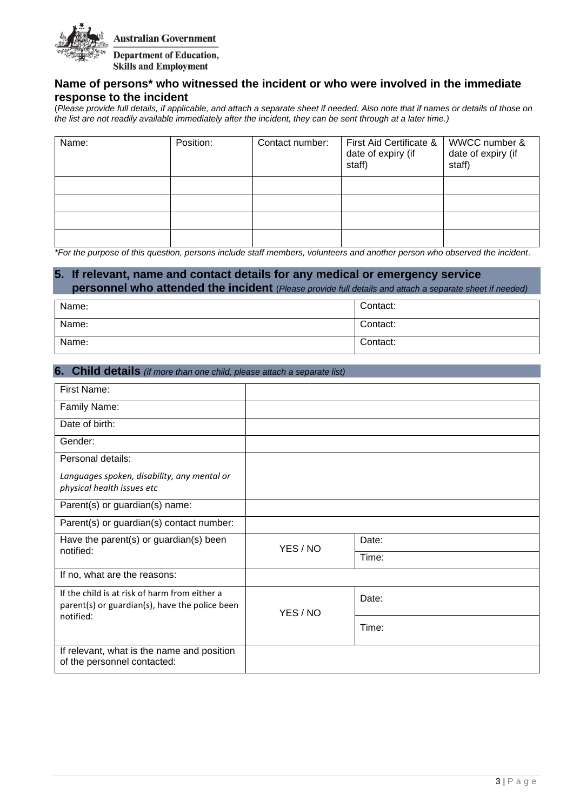

## **Name of persons\* who witnessed the incident or who were involved in the immediate response to the incident**

(*Please provide full details, if applicable, and attach a separate sheet if needed. Also note that if names or details of those on the list are not readily available immediately after the incident, they can be sent through at a later time.)*

| Name: | Position: | Contact number: | First Aid Certificate &<br>date of expiry (if<br>staff) | WWCC number &<br>date of expiry (if<br>staff) |
|-------|-----------|-----------------|---------------------------------------------------------|-----------------------------------------------|
|       |           |                 |                                                         |                                               |
|       |           |                 |                                                         |                                               |
|       |           |                 |                                                         |                                               |
|       |           |                 |                                                         |                                               |

*\*For the purpose of this question, persons include staff members, volunteers and another person who observed the incident.* 

## **5. If relevant, name and contact details for any medical or emergency service personnel who attended the incident** (*Please provide full details and attach a separate sheet if needed)*

| Name: | Contact: |
|-------|----------|
| Name: | Contact: |
| Name: | Contact: |

#### **6. Child details** *(if more than one child, please attach a separate list)*

| First Name:                                                                                                  |          |       |
|--------------------------------------------------------------------------------------------------------------|----------|-------|
| Family Name:                                                                                                 |          |       |
| Date of birth:                                                                                               |          |       |
| Gender:                                                                                                      |          |       |
| Personal details:                                                                                            |          |       |
| Languages spoken, disability, any mental or<br>physical health issues etc                                    |          |       |
| Parent(s) or guardian(s) name:                                                                               |          |       |
| Parent(s) or guardian(s) contact number:                                                                     |          |       |
| Have the parent(s) or guardian(s) been                                                                       | YES / NO | Date: |
| notified:                                                                                                    |          | Time: |
| If no, what are the reasons:                                                                                 |          |       |
| If the child is at risk of harm from either a<br>parent(s) or guardian(s), have the police been<br>notified: | YES / NO | Date: |
|                                                                                                              |          | Time: |
| If relevant, what is the name and position<br>of the personnel contacted:                                    |          |       |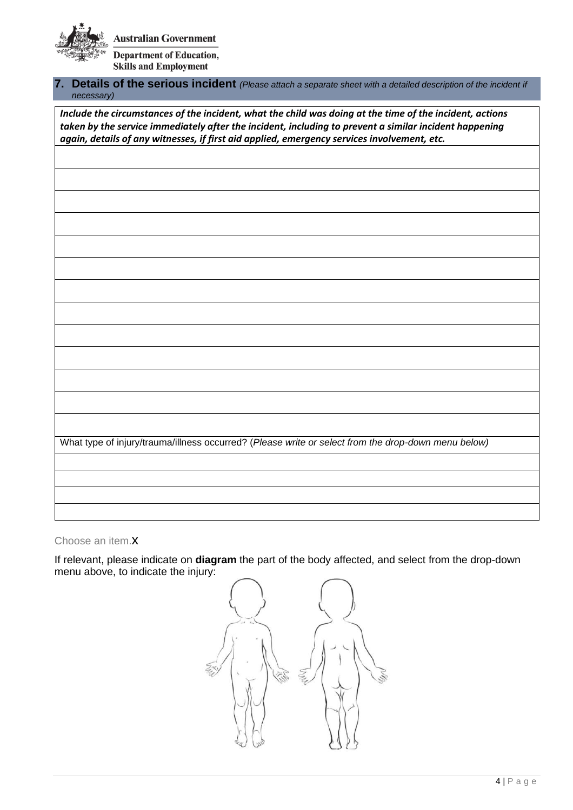**Australian Government Department of Education,** 

**Skills and Employment** 

## **7. Details of the serious incident** *(Please attach a separate sheet with a detailed description of the incident if necessary)*

*Include the circumstances of the incident, what the child was doing at the time of the incident, actions taken by the service immediately after the incident, including to prevent a similar incident happening again, details of any witnesses, if first aid applied, emergency services involvement, etc.* 

What type of injury/trauma/illness occurred? (*Please write or select from the drop-down menu below)*

#### Choose an item.x

If relevant, please indicate on **diagram** the part of the body affected, and select from the drop-down menu above, to indicate the injury:

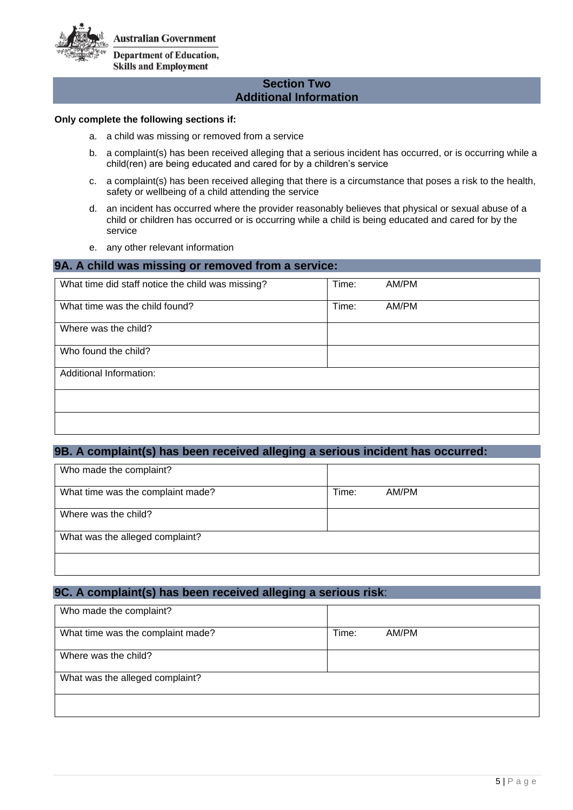**Australian Government** 



**Skills and Employment** 

### **Section Two Additional Information**

#### **Only complete the following sections if:**

- a. a child was missing or removed from a service
- b. a complaint(s) has been received alleging that a serious incident has occurred, or is occurring while a child(ren) are being educated and cared for by a children's service
- c. a complaint(s) has been received alleging that there is a circumstance that poses a risk to the health, safety or wellbeing of a child attending the service
- d. an incident has occurred where the provider reasonably believes that physical or sexual abuse of a child or children has occurred or is occurring while a child is being educated and cared for by the service
- e. any other relevant information

#### **9A. A child was missing or removed from a service:**

| What time did staff notice the child was missing? | Time: | AM/PM |
|---------------------------------------------------|-------|-------|
| What time was the child found?                    | Time: | AM/PM |
| Where was the child?                              |       |       |
| Who found the child?                              |       |       |
| Additional Information:                           |       |       |
|                                                   |       |       |
|                                                   |       |       |

## **9B. A complaint(s) has been received alleging a serious incident has occurred:**

| Who made the complaint?           |       |       |
|-----------------------------------|-------|-------|
| What time was the complaint made? | Time: | AM/PM |
| Where was the child?              |       |       |
| What was the alleged complaint?   |       |       |
|                                   |       |       |

## **9C. A complaint(s) has been received alleging a serious risk**:

| Who made the complaint?           |       |       |
|-----------------------------------|-------|-------|
| What time was the complaint made? | Time: | AM/PM |
| Where was the child?              |       |       |
| What was the alleged complaint?   |       |       |
|                                   |       |       |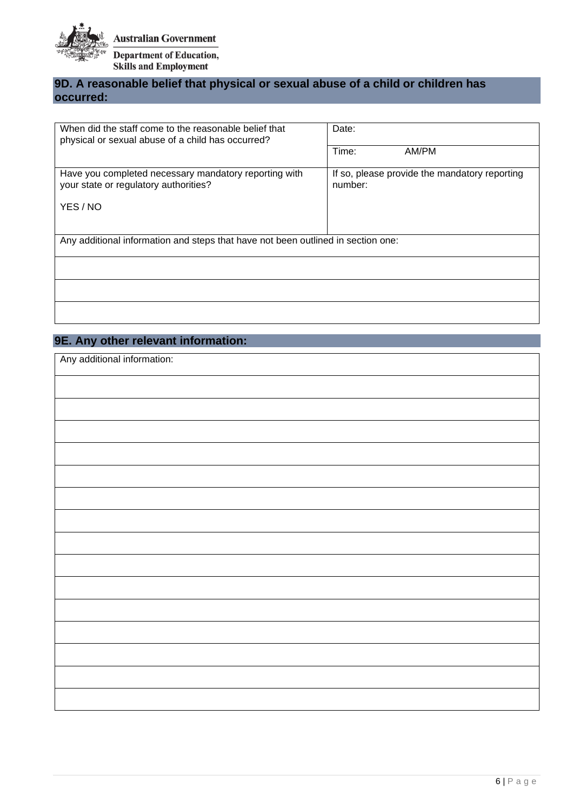

## **9D. A reasonable belief that physical or sexual abuse of a child or children has occurred:**

| When did the staff come to the reasonable belief that<br>physical or sexual abuse of a child has occurred? | Date:                                                    |  |
|------------------------------------------------------------------------------------------------------------|----------------------------------------------------------|--|
|                                                                                                            | Time:<br>AM/PM                                           |  |
| Have you completed necessary mandatory reporting with<br>your state or regulatory authorities?             | If so, please provide the mandatory reporting<br>number: |  |
| YES / NO                                                                                                   |                                                          |  |
| Any additional information and steps that have not been outlined in section one:                           |                                                          |  |
|                                                                                                            |                                                          |  |
|                                                                                                            |                                                          |  |
|                                                                                                            |                                                          |  |

## **9E. Any other relevant information:**

| Any additional information: |  |
|-----------------------------|--|
|                             |  |
|                             |  |
|                             |  |
|                             |  |
|                             |  |
|                             |  |
|                             |  |
|                             |  |
|                             |  |
|                             |  |
|                             |  |
|                             |  |
|                             |  |
|                             |  |
|                             |  |
|                             |  |